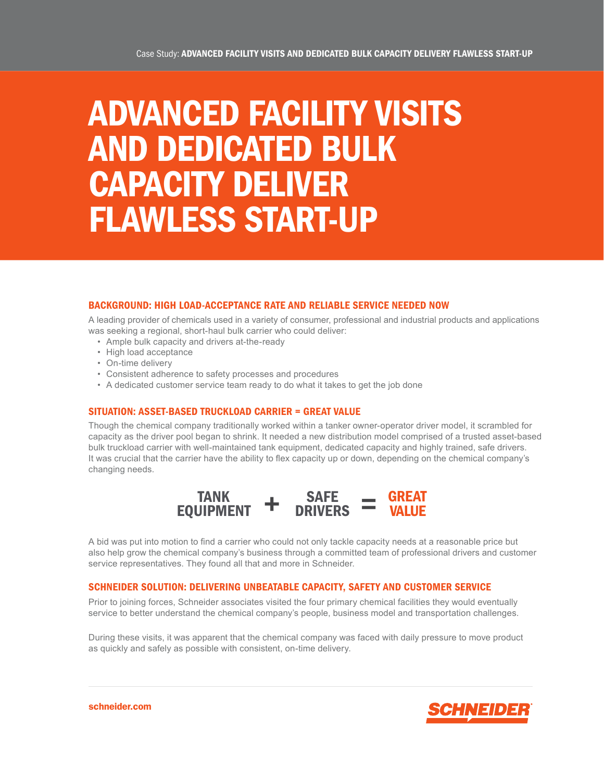# ADVANCED FACILITY VISITS AND DEDICATED BULK CAPACITY DELIVER FLAWLESS START-UP

## BACKGROUND: HIGH LOAD-ACCEPTANCE RATE AND RELIABLE SERVICE NEEDED NOW

A leading provider of chemicals used in a variety of consumer, professional and industrial products and applications was seeking a regional, short-haul bulk carrier who could deliver:

- Ample bulk capacity and drivers at-the-ready
- High load acceptance
- On-time delivery
- Consistent adherence to safety processes and procedures
- A dedicated customer service team ready to do what it takes to get the job done

### SITUATION: ASSET-BASED TRUCKLOAD CARRIER = GREAT VALUE

Though the chemical company traditionally worked within a tanker owner-operator driver model, it scrambled for capacity as the driver pool began to shrink. It needed a new distribution model comprised of a trusted asset-based bulk truckload carrier with well-maintained tank equipment, dedicated capacity and highly trained, safe drivers. It was crucial that the carrier have the ability to flex capacity up or down, depending on the chemical company's changing needs.



A bid was put into motion to find a carrier who could not only tackle capacity needs at a reasonable price but also help grow the chemical company's business through a committed team of professional drivers and customer service representatives. They found all that and more in Schneider.

### SCHNEIDER SOLUTION: DELIVERING UNBEATABLE CAPACITY, SAFETY AND CUSTOMER SERVICE

Prior to joining forces, Schneider associates visited the four primary chemical facilities they would eventually service to better understand the chemical company's people, business model and transportation challenges.

During these visits, it was apparent that the chemical company was faced with daily pressure to move product as quickly and safely as possible with consistent, on-time delivery.



schneider.com